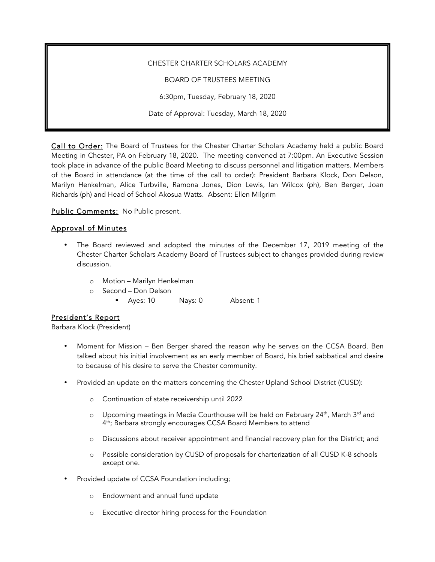#### CHESTER CHARTER SCHOLARS ACADEMY

BOARD OF TRUSTEES MEETING

6:30pm, Tuesday, February 18, 2020

Date of Approval: Tuesday, March 18, 2020

Call to Order: The Board of Trustees for the Chester Charter Scholars Academy held a public Board Meeting in Chester, PA on February 18, 2020. The meeting convened at 7:00pm. An Executive Session took place in advance of the public Board Meeting to discuss personnel and litigation matters. Members of the Board in attendance (at the time of the call to order): President Barbara Klock, Don Delson, Marilyn Henkelman, Alice Turbville, Ramona Jones, Dion Lewis, Ian Wilcox (ph), Ben Berger, Joan Richards (ph) and Head of School Akosua Watts. Absent: Ellen Milgrim

Public Comments: No Public present.

## Approval of Minutes

- The Board reviewed and adopted the minutes of the December 17, 2019 meeting of the Chester Charter Scholars Academy Board of Trustees subject to changes provided during review discussion.
	- o Motion Marilyn Henkelman
	- o Second Don Delson
		- Ayes: 10 Nays: 0 Absent: 1

### President's Report

Barbara Klock (President)

- Moment for Mission Ben Berger shared the reason why he serves on the CCSA Board. Ben talked about his initial involvement as an early member of Board, his brief sabbatical and desire to because of his desire to serve the Chester community.
- Provided an update on the matters concerning the Chester Upland School District (CUSD):
	- o Continuation of state receivership until 2022
	- $\circ$  Upcoming meetings in Media Courthouse will be held on February 24<sup>th</sup>, March 3<sup>rd</sup> and 4th; Barbara strongly encourages CCSA Board Members to attend
	- o Discussions about receiver appointment and financial recovery plan for the District; and
	- o Possible consideration by CUSD of proposals for charterization of all CUSD K-8 schools except one.
- Provided update of CCSA Foundation including;
	- o Endowment and annual fund update
	- o Executive director hiring process for the Foundation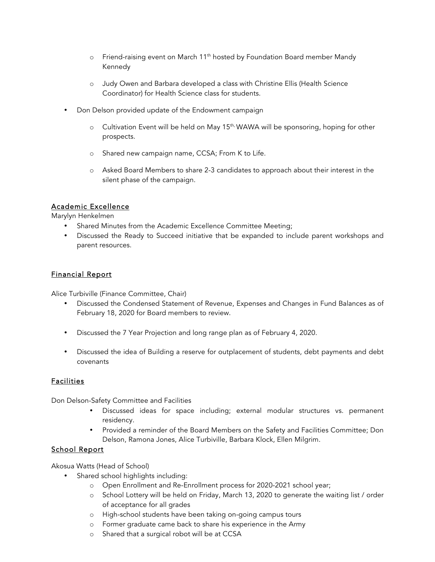- o Friend-raising event on March 11th hosted by Foundation Board member Mandy Kennedy
- o Judy Owen and Barbara developed a class with Christine Ellis (Health Science Coordinator) for Health Science class for students.
- Don Delson provided update of the Endowment campaign
	- o Cultivation Event will be held on May 15<sup>th,</sup> WAWA will be sponsoring, hoping for other prospects.
	- o Shared new campaign name, CCSA; From K to Life.
	- o Asked Board Members to share 2-3 candidates to approach about their interest in the silent phase of the campaign.

## Academic Excellence

Marylyn Henkelmen

- Shared Minutes from the Academic Excellence Committee Meeting;
- Discussed the Ready to Succeed initiative that be expanded to include parent workshops and parent resources.

## Financial Report

Alice Turbiville (Finance Committee, Chair)

- Discussed the Condensed Statement of Revenue, Expenses and Changes in Fund Balances as of February 18, 2020 for Board members to review.
- Discussed the 7 Year Projection and long range plan as of February 4, 2020.
- Discussed the idea of Building a reserve for outplacement of students, debt payments and debt covenants

### **Facilities**

Don Delson-Safety Committee and Facilities

- Discussed ideas for space including; external modular structures vs. permanent residency.
- Provided a reminder of the Board Members on the Safety and Facilities Committee; Don Delson, Ramona Jones, Alice Turbiville, Barbara Klock, Ellen Milgrim.

# School Report

Akosua Watts (Head of School)

- Shared school highlights including:
	- o Open Enrollment and Re-Enrollment process for 2020-2021 school year;
	- o School Lottery will be held on Friday, March 13, 2020 to generate the waiting list / order of acceptance for all grades
	- o High-school students have been taking on-going campus tours
	- o Former graduate came back to share his experience in the Army
	- o Shared that a surgical robot will be at CCSA